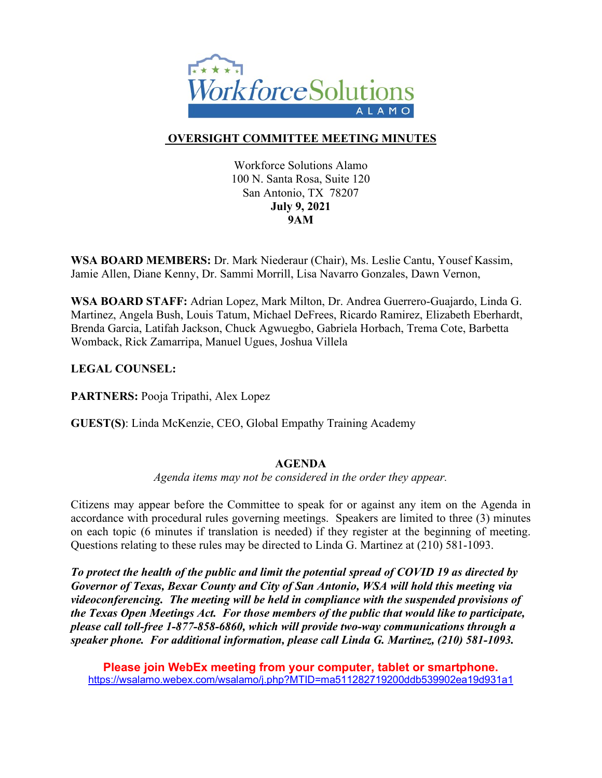

# **OVERSIGHT COMMITTEE MEETING MINUTES**

Workforce Solutions Alamo 100 N. Santa Rosa, Suite 120 San Antonio, TX 78207 **July 9, 2021 9AM**

**WSA BOARD MEMBERS:** Dr. Mark Niederaur (Chair), Ms. Leslie Cantu, Yousef Kassim, Jamie Allen, Diane Kenny, Dr. Sammi Morrill, Lisa Navarro Gonzales, Dawn Vernon,

**WSA BOARD STAFF:** Adrian Lopez, Mark Milton, Dr. Andrea Guerrero-Guajardo, Linda G. Martinez, Angela Bush, Louis Tatum, Michael DeFrees, Ricardo Ramirez, Elizabeth Eberhardt, Brenda Garcia, Latifah Jackson, Chuck Agwuegbo, Gabriela Horbach, Trema Cote, Barbetta Womback, Rick Zamarripa, Manuel Ugues, Joshua Villela

**LEGAL COUNSEL:** 

**PARTNERS:** Pooja Tripathi, Alex Lopez

**GUEST(S)**: Linda McKenzie, CEO, Global Empathy Training Academy

#### **AGENDA**

*Agenda items may not be considered in the order they appear.*

Citizens may appear before the Committee to speak for or against any item on the Agenda in accordance with procedural rules governing meetings. Speakers are limited to three (3) minutes on each topic (6 minutes if translation is needed) if they register at the beginning of meeting. Questions relating to these rules may be directed to Linda G. Martinez at (210) 581-1093.

*To protect the health of the public and limit the potential spread of COVID 19 as directed by Governor of Texas, Bexar County and City of San Antonio, WSA will hold this meeting via videoconferencing. The meeting will be held in compliance with the suspended provisions of the Texas Open Meetings Act. For those members of the public that would like to participate, please call toll-free 1-877-858-6860, which will provide two-way communications through a speaker phone. For additional information, please call Linda G. Martinez, (210) 581-1093.* 

**Please join WebEx meeting from your computer, tablet or smartphone.**  <https://wsalamo.webex.com/wsalamo/j.php?MTID=ma511282719200ddb539902ea19d931a1>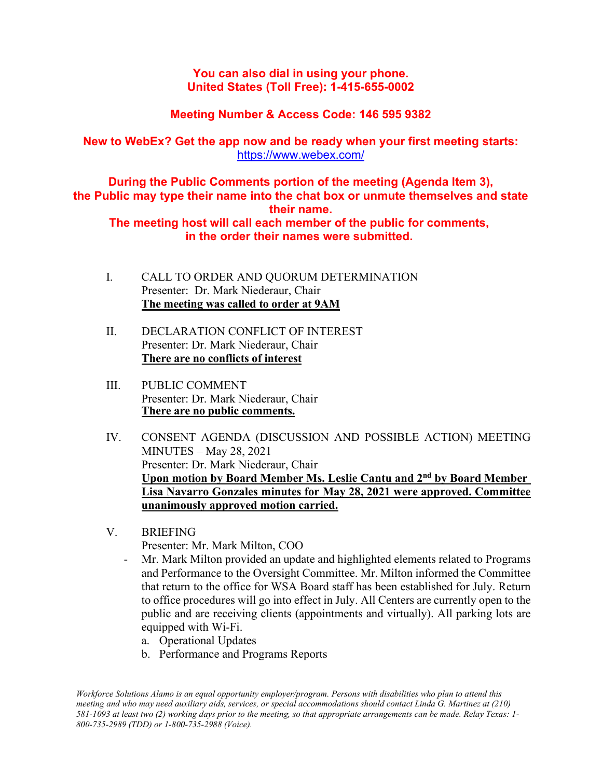## **You can also dial in using your phone. United States (Toll Free): 1-415-655-0002**

# **Meeting Number & Access Code: 146 595 9382**

# **New to WebEx? Get the app now and be ready when your first meeting starts:**  <https://www.webex.com/>

**During the Public Comments portion of the meeting (Agenda Item 3), the Public may type their name into the chat box or unmute themselves and state their name.**

**The meeting host will call each member of the public for comments, in the order their names were submitted.**

- I. CALL TO ORDER AND QUORUM DETERMINATION Presenter: Dr. Mark Niederaur, Chair **The meeting was called to order at 9AM**
- II. DECLARATION CONFLICT OF INTEREST Presenter: Dr. Mark Niederaur, Chair **There are no conflicts of interest**
- III. PUBLIC COMMENT Presenter: Dr. Mark Niederaur, Chair **There are no public comments.**
- IV. CONSENT AGENDA (DISCUSSION AND POSSIBLE ACTION) MEETING MINUTES – May 28, 2021 Presenter: Dr. Mark Niederaur, Chair **Upon motion by Board Member Ms. Leslie Cantu and 2nd by Board Member Lisa Navarro Gonzales minutes for May 28, 2021 were approved. Committee unanimously approved motion carried.**
- V. BRIEFING

Presenter: Mr. Mark Milton, COO

- Mr. Mark Milton provided an update and highlighted elements related to Programs and Performance to the Oversight Committee. Mr. Milton informed the Committee that return to the office for WSA Board staff has been established for July. Return to office procedures will go into effect in July. All Centers are currently open to the public and are receiving clients (appointments and virtually). All parking lots are equipped with Wi-Fi.
	- a. Operational Updates
	- b. Performance and Programs Reports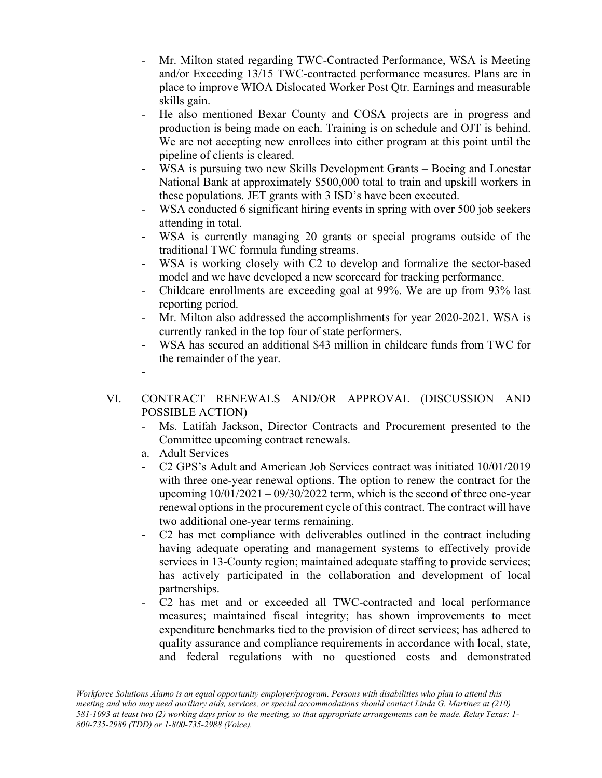- Mr. Milton stated regarding TWC-Contracted Performance, WSA is Meeting and/or Exceeding 13/15 TWC-contracted performance measures. Plans are in place to improve WIOA Dislocated Worker Post Qtr. Earnings and measurable skills gain.
- He also mentioned Bexar County and COSA projects are in progress and production is being made on each. Training is on schedule and OJT is behind. We are not accepting new enrollees into either program at this point until the pipeline of clients is cleared.
- WSA is pursuing two new Skills Development Grants Boeing and Lonestar National Bank at approximately \$500,000 total to train and upskill workers in these populations. JET grants with 3 ISD's have been executed.
- WSA conducted 6 significant hiring events in spring with over 500 job seekers attending in total.
- WSA is currently managing 20 grants or special programs outside of the traditional TWC formula funding streams.
- WSA is working closely with C2 to develop and formalize the sector-based model and we have developed a new scorecard for tracking performance.
- Childcare enrollments are exceeding goal at 99%. We are up from 93% last reporting period.
- Mr. Milton also addressed the accomplishments for year 2020-2021. WSA is currently ranked in the top four of state performers.
- WSA has secured an additional \$43 million in childcare funds from TWC for the remainder of the year.
- -

# VI. CONTRACT RENEWALS AND/OR APPROVAL (DISCUSSION AND POSSIBLE ACTION)

- Ms. Latifah Jackson, Director Contracts and Procurement presented to the Committee upcoming contract renewals.
- a. Adult Services
- C2 GPS's Adult and American Job Services contract was initiated 10/01/2019 with three one-year renewal options. The option to renew the contract for the upcoming  $10/01/2021 - 09/30/2022$  term, which is the second of three one-year renewal options in the procurement cycle of this contract. The contract will have two additional one-year terms remaining.
- C2 has met compliance with deliverables outlined in the contract including having adequate operating and management systems to effectively provide services in 13-County region; maintained adequate staffing to provide services; has actively participated in the collaboration and development of local partnerships.
- C2 has met and or exceeded all TWC-contracted and local performance measures; maintained fiscal integrity; has shown improvements to meet expenditure benchmarks tied to the provision of direct services; has adhered to quality assurance and compliance requirements in accordance with local, state, and federal regulations with no questioned costs and demonstrated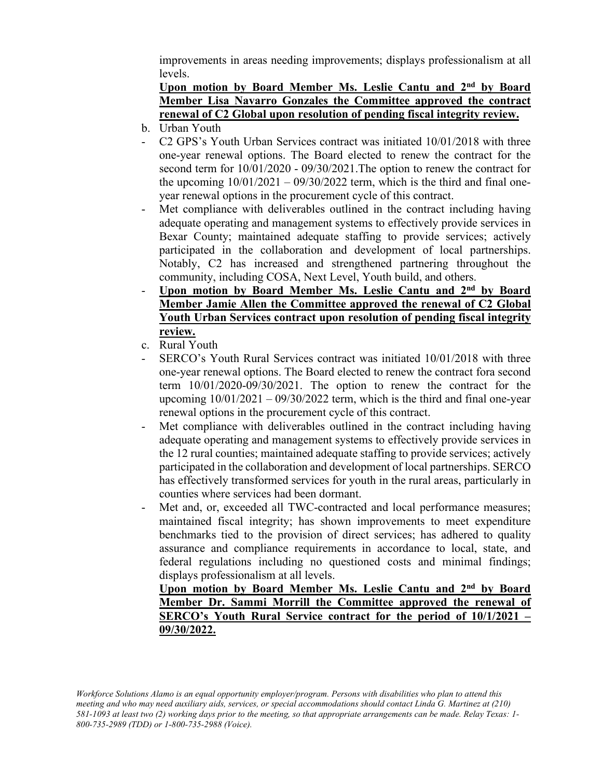improvements in areas needing improvements; displays professionalism at all levels.

## **Upon motion by Board Member Ms. Leslie Cantu and 2nd by Board Member Lisa Navarro Gonzales the Committee approved the contract renewal of C2 Global upon resolution of pending fiscal integrity review.**

- b. Urban Youth
- C2 GPS's Youth Urban Services contract was initiated 10/01/2018 with three one-year renewal options. The Board elected to renew the contract for the second term for 10/01/2020 - 09/30/2021.The option to renew the contract for the upcoming  $10/01/2021 - 09/30/2022$  term, which is the third and final oneyear renewal options in the procurement cycle of this contract.
- Met compliance with deliverables outlined in the contract including having adequate operating and management systems to effectively provide services in Bexar County; maintained adequate staffing to provide services; actively participated in the collaboration and development of local partnerships. Notably, C2 has increased and strengthened partnering throughout the community, including COSA, Next Level, Youth build, and others.
- **Upon motion by Board Member Ms. Leslie Cantu and 2nd by Board Member Jamie Allen the Committee approved the renewal of C2 Global Youth Urban Services contract upon resolution of pending fiscal integrity review.**
- c. Rural Youth
- SERCO's Youth Rural Services contract was initiated  $10/01/2018$  with three one-year renewal options. The Board elected to renew the contract fora second term 10/01/2020-09/30/2021. The option to renew the contract for the upcoming  $10/01/2021 - 09/30/2022$  term, which is the third and final one-year renewal options in the procurement cycle of this contract.
- Met compliance with deliverables outlined in the contract including having adequate operating and management systems to effectively provide services in the 12 rural counties; maintained adequate staffing to provide services; actively participated in the collaboration and development of local partnerships. SERCO has effectively transformed services for youth in the rural areas, particularly in counties where services had been dormant.
- Met and, or, exceeded all TWC-contracted and local performance measures; maintained fiscal integrity; has shown improvements to meet expenditure benchmarks tied to the provision of direct services; has adhered to quality assurance and compliance requirements in accordance to local, state, and federal regulations including no questioned costs and minimal findings; displays professionalism at all levels.

**Upon motion by Board Member Ms. Leslie Cantu and 2nd by Board Member Dr. Sammi Morrill the Committee approved the renewal of SERCO's Youth Rural Service contract for the period of 10/1/2021 – 09/30/2022.**

*Workforce Solutions Alamo is an equal opportunity employer/program. Persons with disabilities who plan to attend this meeting and who may need auxiliary aids, services, or special accommodations should contact Linda G. Martinez at (210) 581-1093 at least two (2) working days prior to the meeting, so that appropriate arrangements can be made. Relay Texas: 1- 800-735-2989 (TDD) or 1-800-735-2988 (Voice).*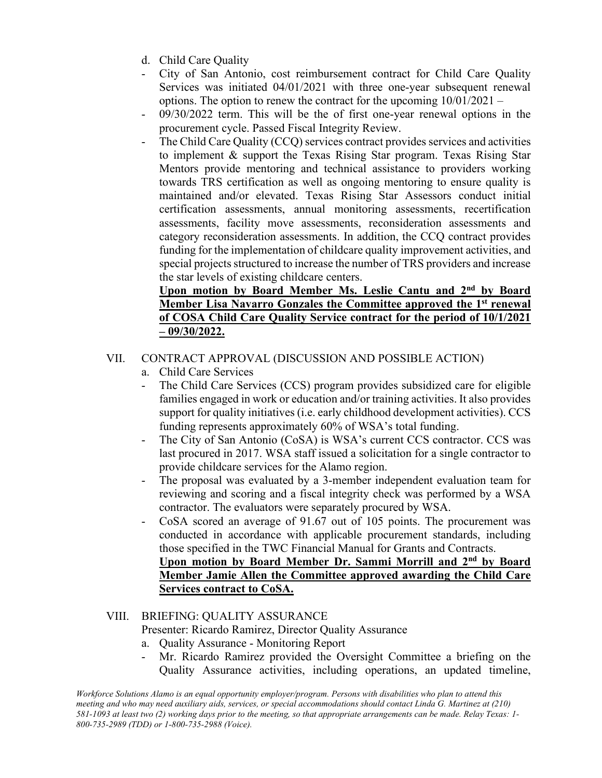- d. Child Care Quality
- City of San Antonio, cost reimbursement contract for Child Care Quality Services was initiated 04/01/2021 with three one-year subsequent renewal options. The option to renew the contract for the upcoming  $10/01/2021 -$
- $09/30/2022$  term. This will be the of first one-year renewal options in the procurement cycle. Passed Fiscal Integrity Review.
- The Child Care Quality (CCQ) services contract provides services and activities to implement & support the Texas Rising Star program. Texas Rising Star Mentors provide mentoring and technical assistance to providers working towards TRS certification as well as ongoing mentoring to ensure quality is maintained and/or elevated. Texas Rising Star Assessors conduct initial certification assessments, annual monitoring assessments, recertification assessments, facility move assessments, reconsideration assessments and category reconsideration assessments. In addition, the CCQ contract provides funding for the implementation of childcare quality improvement activities, and special projects structured to increase the number of TRS providers and increase the star levels of existing childcare centers.

#### **Upon motion by Board Member Ms. Leslie Cantu and 2nd by Board Member Lisa Navarro Gonzales the Committee approved the 1st renewal of COSA Child Care Quality Service contract for the period of 10/1/2021 – 09/30/2022.**

## VII. CONTRACT APPROVAL (DISCUSSION AND POSSIBLE ACTION)

- a. Child Care Services
- The Child Care Services (CCS) program provides subsidized care for eligible families engaged in work or education and/or training activities. It also provides support for quality initiatives (i.e. early childhood development activities). CCS funding represents approximately 60% of WSA's total funding.
- The City of San Antonio (CoSA) is WSA's current CCS contractor. CCS was last procured in 2017. WSA staff issued a solicitation for a single contractor to provide childcare services for the Alamo region.
- The proposal was evaluated by a 3-member independent evaluation team for reviewing and scoring and a fiscal integrity check was performed by a WSA contractor. The evaluators were separately procured by WSA.
- CoSA scored an average of 91.67 out of 105 points. The procurement was conducted in accordance with applicable procurement standards, including those specified in the TWC Financial Manual for Grants and Contracts. **Upon motion by Board Member Dr. Sammi Morrill and 2nd by Board**

# **Member Jamie Allen the Committee approved awarding the Child Care Services contract to CoSA.**

## VIII. BRIEFING: QUALITY ASSURANCE

#### Presenter: Ricardo Ramirez, Director Quality Assurance

- a. Quality Assurance Monitoring Report
- Mr. Ricardo Ramirez provided the Oversight Committee a briefing on the Quality Assurance activities, including operations, an updated timeline,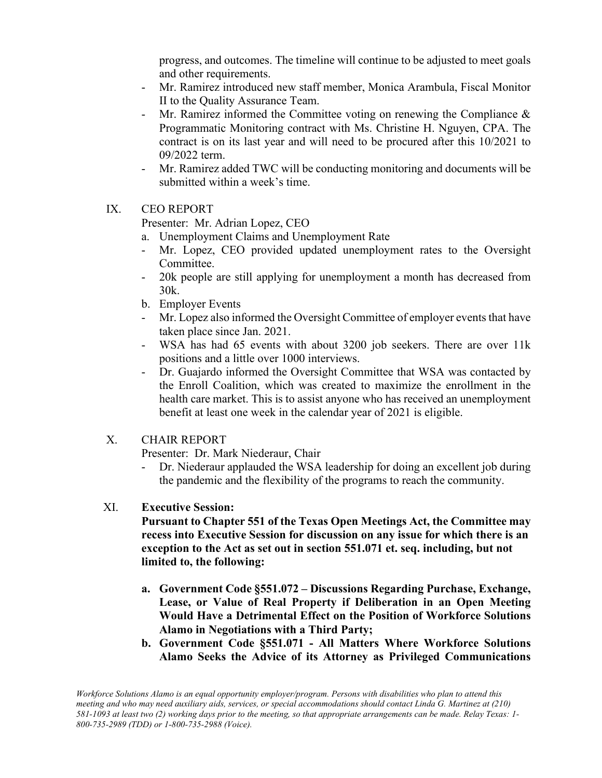progress, and outcomes. The timeline will continue to be adjusted to meet goals and other requirements.

- Mr. Ramirez introduced new staff member, Monica Arambula, Fiscal Monitor II to the Quality Assurance Team.
- Mr. Ramirez informed the Committee voting on renewing the Compliance & Programmatic Monitoring contract with Ms. Christine H. Nguyen, CPA. The contract is on its last year and will need to be procured after this 10/2021 to 09/2022 term.
- Mr. Ramirez added TWC will be conducting monitoring and documents will be submitted within a week's time.

#### IX. CEO REPORT

Presenter: Mr. Adrian Lopez, CEO

- a. Unemployment Claims and Unemployment Rate
- Mr. Lopez, CEO provided updated unemployment rates to the Oversight Committee.
- 20k people are still applying for unemployment a month has decreased from 30k.
- b. Employer Events
- Mr. Lopez also informed the Oversight Committee of employer events that have taken place since Jan. 2021.
- WSA has had 65 events with about 3200 job seekers. There are over 11k positions and a little over 1000 interviews.
- Dr. Guajardo informed the Oversight Committee that WSA was contacted by the Enroll Coalition, which was created to maximize the enrollment in the health care market. This is to assist anyone who has received an unemployment benefit at least one week in the calendar year of 2021 is eligible.

## X. CHAIR REPORT

Presenter: Dr. Mark Niederaur, Chair

Dr. Niederaur applauded the WSA leadership for doing an excellent job during the pandemic and the flexibility of the programs to reach the community.

#### XI. **Executive Session:**

**Pursuant to Chapter 551 of the Texas Open Meetings Act, the Committee may recess into Executive Session for discussion on any issue for which there is an exception to the Act as set out in section 551.071 et. seq. including, but not limited to, the following:** 

- **a. Government Code §551.072 – Discussions Regarding Purchase, Exchange, Lease, or Value of Real Property if Deliberation in an Open Meeting Would Have a Detrimental Effect on the Position of Workforce Solutions Alamo in Negotiations with a Third Party;**
- **b. Government Code §551.071 - All Matters Where Workforce Solutions Alamo Seeks the Advice of its Attorney as Privileged Communications**